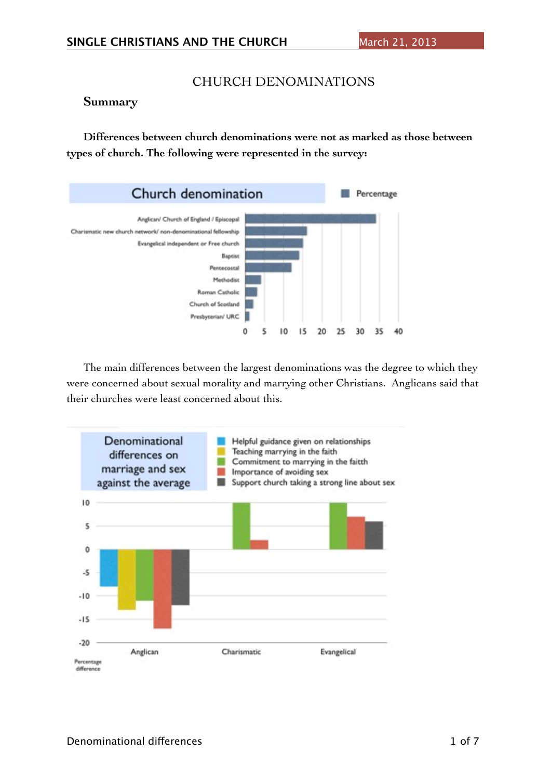## CHURCH DENOMINATIONS

#### **Summary**

**Differences between church denominations were not as marked as those between types of church. The following were represented in the survey:**



The main differences between the largest denominations was the degree to which they were concerned about sexual morality and marrying other Christians. Anglicans said that their churches were least concerned about this.

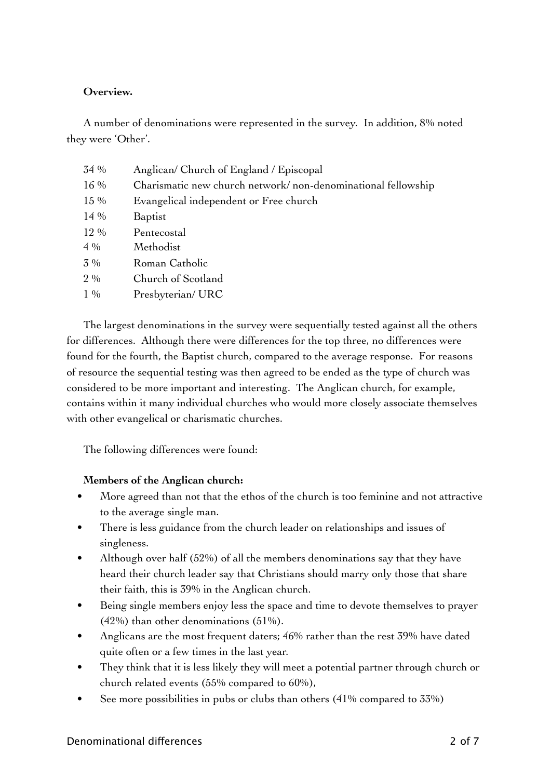## **Overview.**

A number of denominations were represented in the survey. In addition, 8% noted they were 'Other'.

| 34 %   | Anglican/ Church of England / Episcopal                      |
|--------|--------------------------------------------------------------|
| 16 %   | Charismatic new church network/non-denominational fellowship |
| 15 %   | Evangelical independent or Free church                       |
| $14\%$ | Baptist                                                      |
| $12\%$ | Pentecostal                                                  |
| $4\%$  | Methodist                                                    |
| $3\%$  | Roman Catholic                                               |
| $2\%$  | Church of Scotland                                           |
| $1\%$  | Presbyterian/ URC                                            |

The largest denominations in the survey were sequentially tested against all the others for differences. Although there were differences for the top three, no differences were found for the fourth, the Baptist church, compared to the average response. For reasons of resource the sequential testing was then agreed to be ended as the type of church was considered to be more important and interesting. The Anglican church, for example, contains within it many individual churches who would more closely associate themselves with other evangelical or charismatic churches.

The following differences were found:

#### **Members of the Anglican church:**

- More agreed than not that the ethos of the church is too feminine and not attractive to the average single man.
- There is less guidance from the church leader on relationships and issues of singleness.
- Although over half (52%) of all the members denominations say that they have heard their church leader say that Christians should marry only those that share their faith, this is 39% in the Anglican church.
- Being single members enjoy less the space and time to devote themselves to prayer (42%) than other denominations (51%).
- Anglicans are the most frequent daters; 46% rather than the rest 39% have dated quite often or a few times in the last year.
- They think that it is less likely they will meet a potential partner through church or church related events (55% compared to 60%),
- See more possibilities in pubs or clubs than others (41% compared to 33%)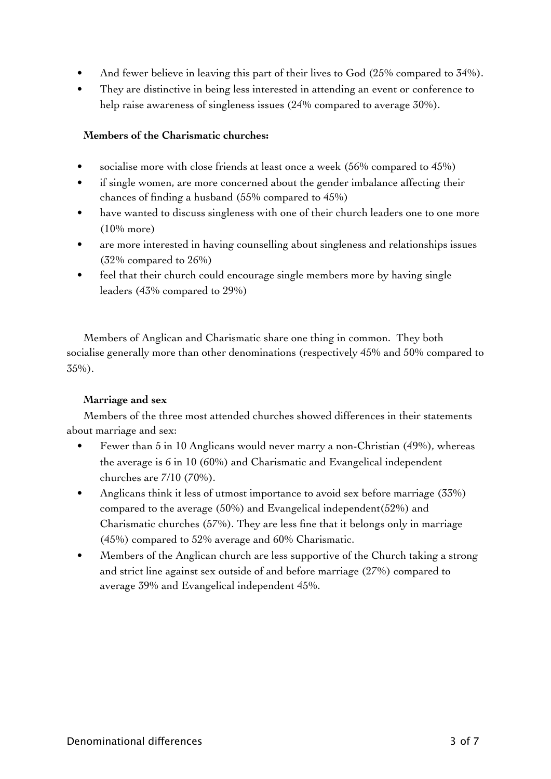- And fewer believe in leaving this part of their lives to God (25% compared to 34%).
- They are distinctive in being less interested in attending an event or conference to help raise awareness of singleness issues (24% compared to average 30%).

## **Members of the Charismatic churches:**

- socialise more with close friends at least once a week (56% compared to 45%)
- if single women, are more concerned about the gender imbalance affecting their chances of finding a husband (55% compared to 45%)
- have wanted to discuss singleness with one of their church leaders one to one more (10% more)
- are more interested in having counselling about singleness and relationships issues (32% compared to 26%)
- feel that their church could encourage single members more by having single leaders (43% compared to 29%)

Members of Anglican and Charismatic share one thing in common. They both socialise generally more than other denominations (respectively 45% and 50% compared to 35%).

#### **Marriage and sex**

Members of the three most attended churches showed differences in their statements about marriage and sex:

- Fewer than 5 in 10 Anglicans would never marry a non-Christian (49%), whereas the average is 6 in 10 (60%) and Charismatic and Evangelical independent churches are 7/10 (70%).
- Anglicans think it less of utmost importance to avoid sex before marriage (33%) compared to the average (50%) and Evangelical independent(52%) and Charismatic churches (57%). They are less fine that it belongs only in marriage (45%) compared to 52% average and 60% Charismatic.
- Members of the Anglican church are less supportive of the Church taking a strong and strict line against sex outside of and before marriage (27%) compared to average 39% and Evangelical independent 45%.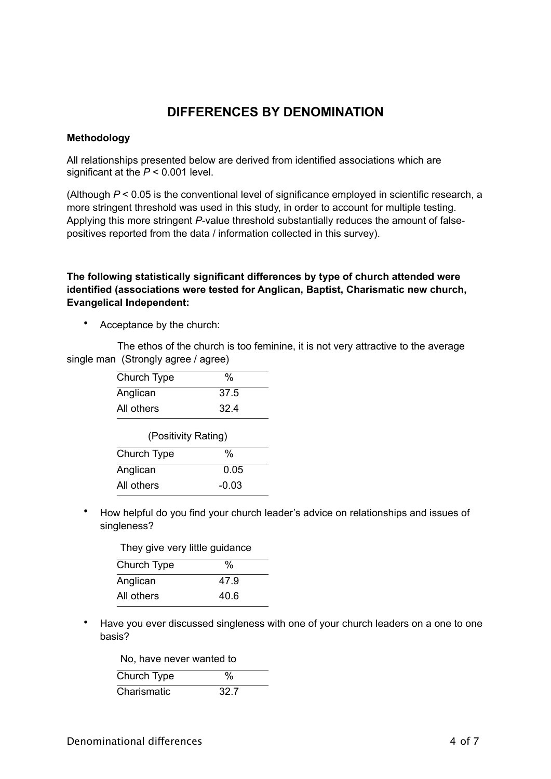# **DIFFERENCES BY DENOMINATION**

#### **Methodology**

All relationships presented below are derived from identified associations which are significant at the *P* < 0.001 level.

(Although *P* < 0.05 is the conventional level of significance employed in scientific research, a more stringent threshold was used in this study, in order to account for multiple testing. Applying this more stringent *P*-value threshold substantially reduces the amount of falsepositives reported from the data / information collected in this survey).

#### **The following statistically significant differences by type of church attended were identified (associations were tested for Anglican, Baptist, Charismatic new church, Evangelical Independent:**

• Acceptance by the church:

 The ethos of the church is too feminine, it is not very attractive to the average single man (Strongly agree / agree)

| Church Type         | %    |
|---------------------|------|
| Anglican            | 37.5 |
| All others          | 324  |
| (Positivity Rating) |      |
| Church Type         |      |

| Church Type | $\%$    |
|-------------|---------|
| Anglican    | 0.05    |
| All others  | $-0.03$ |

• How helpful do you find your church leader's advice on relationships and issues of singleness?

| They give very little guidance |      |
|--------------------------------|------|
| Church Type                    | %    |
| Anglican                       | 47.9 |
| All others                     | 40.6 |
|                                |      |

• Have you ever discussed singleness with one of your church leaders on a one to one basis?

| No, have never wanted to |   |
|--------------------------|---|
| Church Type              | ℅ |

|             | . .   |
|-------------|-------|
| Charismatic | -32 Z |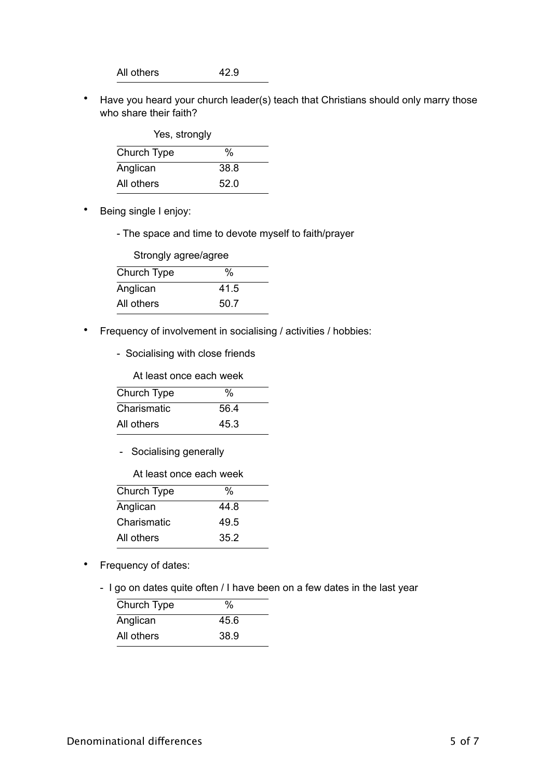All others 42.9

• Have you heard your church leader(s) teach that Christians should only marry those who share their faith?

| Yes, strongly |      |  |
|---------------|------|--|
| Church Type   | %    |  |
| Anglican      | 38.8 |  |
| All others    | 52.0 |  |

- Being single I enjoy:
	- The space and time to devote myself to faith/prayer

| Strongly agree/agree |      |  |
|----------------------|------|--|
| Church Type          | %    |  |
| Anglican             | 41.5 |  |
| All others           | 50.7 |  |

- Frequency of involvement in socialising / activities / hobbies:
	- Socialising with close friends

| Church Type | $\%$ |
|-------------|------|
| Charismatic | 56.4 |
| All others  | 45.3 |

- Socialising generally

At least once each week

| Church Type | %    |
|-------------|------|
| Anglican    | 44 8 |
| Charismatic | 49.5 |
| All others  | 35.2 |

- Frequency of dates:
	- I go on dates quite often / I have been on a few dates in the last year

| Church Type | %    |
|-------------|------|
| Anglican    | 45.6 |
| All others  | 38.9 |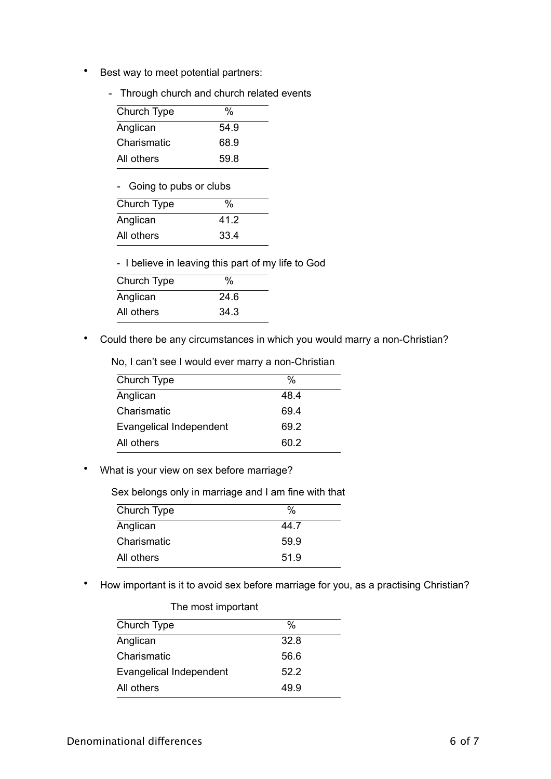- Best way to meet potential partners:
	- Through church and church related events

| Church Type | $\%$ |
|-------------|------|
| Anglican    | 54.9 |
| Charismatic | 68.9 |
| All others  | 59.8 |

- Going to pubs or clubs

| Church Type | %    |  |
|-------------|------|--|
| Anglican    | 412  |  |
| All others  | 33.4 |  |
|             |      |  |

- I believe in leaving this part of my life to God

| Church Type | $\%$ |
|-------------|------|
| Anglican    | 24.6 |
| All others  | 34.3 |

• Could there be any circumstances in which you would marry a non-Christian?

No, I can't see I would ever marry a non-Christian

| Church Type             | %    |
|-------------------------|------|
| Anglican                | 48.4 |
| Charismatic             | 69.4 |
| Evangelical Independent | 69.2 |
| All others              | 60 2 |
|                         |      |

• What is your view on sex before marriage?

Sex belongs only in marriage and I am fine with that

| Church Type | %    |
|-------------|------|
| Anglican    | 44.7 |
| Charismatic | 59.9 |
| All others  | 51.9 |

• How important is it to avoid sex before marriage for you, as a practising Christian?

| The most important             |      |
|--------------------------------|------|
| Church Type                    | %    |
| Anglican                       | 32.8 |
| Charismatic                    | 56.6 |
| <b>Evangelical Independent</b> | 52.2 |
| All others                     | 49.9 |